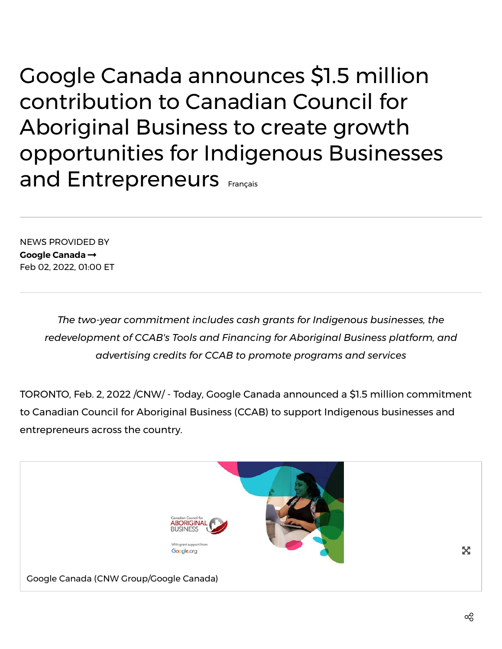Google Canada announces \$1.5 million contribution to Canadian Council for Aboriginal Business to create growth opportunities for Indigenous Businesses and Entrepreneurs [Français](https://www.newswire.ca/fr/news-releases/google-canada-annonce-une-contribution-de-1-5-million-de-dollars-au-conseil-canadien-pour-l-entreprise-autochtone-afin-de-creer-des-opportunites-de-developpement-pour-les-entreprises-et-les-entrepreneurs-autochtones-855904664.html)

NEWS PROVIDED BY **Google [Canada](https://www.newswire.ca/news/google-canada/)** Feb 02, 2022, 01:00 ET

> *The two-year commitment includes cash grants for Indigenous businesses, the redevelopment of CCAB's Tools and Financing for Aboriginal Business platform, and advertising credits for CCAB to promote programs and services*

TORONTO, Feb. 2, 2022 /CNW/ - Today, Google Canada announced a \$1.5 million commitment to Canadian Council for Aboriginal Business (CCAB) to support Indigenous businesses and entrepreneurs across the country.

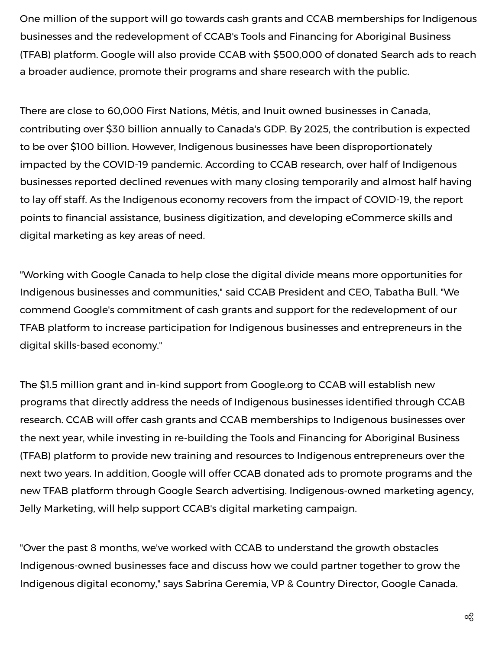One million of the support will go towards cash grants and CCAB memberships for Indigenous businesses and the redevelopment of CCAB's Tools and Financing for Aboriginal Business (TFAB) platform. Google will also provide CCAB with \$500,000 of donated Search ads to reach a broader audience, promote their programs and share research with the public.

There are close to [60,000](https://c212.net/c/link/?t=0&l=en&o=3431621-1&h=890437114&u=https%3A%2F%2Fwww.itworldcanada.com%2Fblog%2Fbarriers-and-hurdles-indigenous-entrepreneurship-in-canada%2F436007&a=60%2C000) First Nations, Métis, and Inuit owned businesses in Canada, contributing over [\\$30](https://c212.net/c/link/?t=0&l=en&o=3431621-1&h=3424490126&u=https%3A%2F%2Fdiscover.rbcroyalbank.com%2Findigenous-entrepreneurship-in-canada-the-impact-and-the-opportunity%2F&a=%2430) billion annually to Canada's GDP. By 2025, the contribution is expected to be over \$100 [billion.](https://c212.net/c/link/?t=0&l=en&o=3431621-1&h=307541407&u=https%3A%2F%2Fdiscover.rbcroyalbank.com%2Findigenous-entrepreneurship-in-canada-the-impact-and-the-opportunity%2F&a=over+%24100+billion) However, Indigenous businesses have been disproportionately impacted by the COVID-19 pandemic. According to CCAB [research](https://c212.net/c/link/?t=0&l=en&o=3431621-1&h=379647995&u=https%3A%2F%2Fwww.ccab.com%2Fwp-content%2Fuploads%2F2021%2F11%2Findigenous_identity_report_v07.pdf&a=research), over half of Indigenous businesses reported declined revenues with many closing temporarily and almost half having to lay off staff. As the Indigenous economy recovers from the impact of COVID-19, the report points to financial assistance, business digitization, and developing eCommerce skills and digital marketing as key areas of need.

"Working with Google Canada to help close the digital divide means more opportunities for Indigenous businesses and communities," said CCAB President and CEO, Tabatha Bull. "We commend Google's commitment of cash grants and support for the redevelopment of our TFAB platform to increase participation for Indigenous businesses and entrepreneurs in the digital skills-based economy."

The \$1.5 million grant and in-kind support from Google.org to CCAB will establish new programs that directly address the needs of Indigenous businesses identified through CCAB research. CCAB will offer cash grants and CCAB memberships to Indigenous businesses over the next year, while investing in re-building the Tools and Financing for Aboriginal Business (TFAB) platform to provide new training and resources to Indigenous entrepreneurs over the next two years. In addition, Google will offer CCAB donated ads to promote programs and the new TFAB platform through Google Search advertising. Indigenous-owned marketing agency, Jelly Marketing, will help support CCAB's digital marketing campaign.

"Over the past 8 months, we've worked with CCAB to understand the growth obstacles Indigenous-owned businesses face and discuss how we could partner together to grow the Indigenous digital economy," says Sabrina Geremia, VP & Country Director, Google Canada.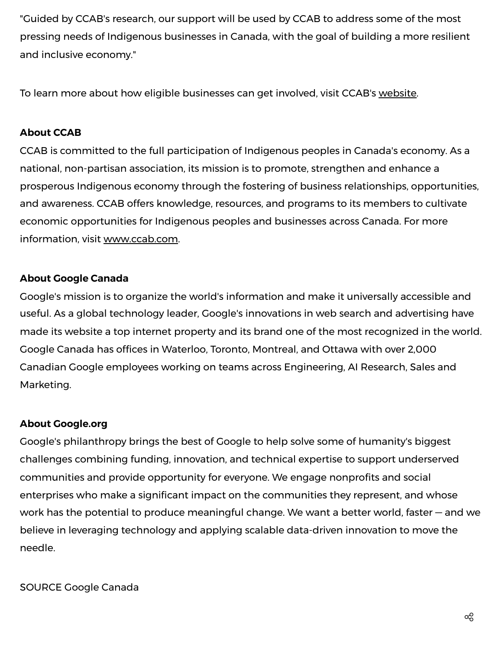"Guided by CCAB's research, our support will be used by CCAB to address some of the most pressing needs of Indigenous businesses in Canada, with the goal of building a more resilient and inclusive economy."

To learn more about how eligible businesses can get involved, visit CCAB's [website](https://c212.net/c/link/?t=0&l=en&o=3431621-1&h=1972279005&u=https%3A%2F%2Fwww.ccab.com%2F&a=website).

## **About CCAB**

CCAB is committed to the full participation of Indigenous peoples in Canada's economy. As a national, non-partisan association, its mission is to promote, strengthen and enhance a prosperous Indigenous economy through the fostering of business relationships, opportunities, and awareness. CCAB offers knowledge, resources, and programs to its members to cultivate economic opportunities for Indigenous peoples and businesses across Canada. For more information, visit [www.ccab.com.](https://c212.net/c/link/?t=0&l=en&o=3431621-1&h=4274797205&u=http%3A%2F%2Fwww.ccab.com%2F&a=www.ccab.com)

## **About Google Canada**

Google's mission is to organize the world's information and make it universally accessible and useful. As a global technology leader, Google's innovations in web search and advertising have made its website a top internet property and its brand one of the most recognized in the world. Google Canada has offices in Waterloo, Toronto, Montreal, and Ottawa with over 2,000 Canadian Google employees working on teams across Engineering, AI Research, Sales and Marketing.

## **About Google.org**

Google's philanthropy brings the best of Google to help solve some of humanity's biggest challenges combining funding, innovation, and technical expertise to support underserved communities and provide opportunity for everyone. We engage nonprofits and social enterprises who make a significant impact on the communities they represent, and whose work has the potential to produce meaningful change. We want a better world, faster — and we believe in leveraging technology and applying scalable data-driven innovation to move the needle.

SOURCE Google Canada